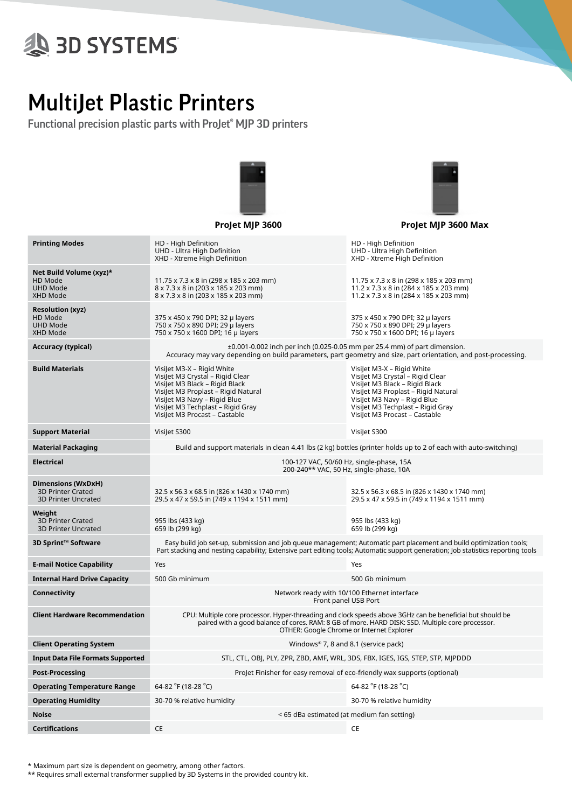## **& 3D SYSTEMS**

## MultiJet Plastic Printers

Functional precision plastic parts with ProJet® MJP 3D printers



|                                                                              | Projet MJP 3600                                                                                                                                                                                                                                            | Projet MJP 3600 Max                                                                                                                                                                                                                           |  |  |  |  |  |
|------------------------------------------------------------------------------|------------------------------------------------------------------------------------------------------------------------------------------------------------------------------------------------------------------------------------------------------------|-----------------------------------------------------------------------------------------------------------------------------------------------------------------------------------------------------------------------------------------------|--|--|--|--|--|
| <b>Printing Modes</b>                                                        | HD - High Definition<br>UHD - Ultra High Definition<br>XHD - Xtreme High Definition                                                                                                                                                                        | HD - High Definition<br>UHD - Ultra High Definition<br>XHD - Xtreme High Definition                                                                                                                                                           |  |  |  |  |  |
| Net Build Volume (xyz)*<br>HD Mode<br><b>UHD Mode</b><br>XHD Mode            | 11.75 x 7.3 x 8 in (298 x 185 x 203 mm)<br>8 x 7.3 x 8 in (203 x 185 x 203 mm)<br>8 x 7.3 x 8 in (203 x 185 x 203 mm)                                                                                                                                      | 11.75 x 7.3 x 8 in (298 x 185 x 203 mm)<br>$11.2 \times 7.3 \times 8$ in (284 x 185 x 203 mm)<br>11.2 x 7.3 x 8 in (284 x 185 x 203 mm)                                                                                                       |  |  |  |  |  |
| <b>Resolution (xyz)</b><br>HD Mode<br><b>UHD Mode</b><br><b>XHD Mode</b>     | 375 x 450 x 790 DPI; 32 µ layers<br>750 x 750 x 890 DPI; 29 µ layers<br>750 x 750 x 1600 DPI; 16 µ layers                                                                                                                                                  | 375 x 450 x 790 DPI; 32 µ layers<br>750 x 750 x 890 DPI; 29 µ layers<br>750 x 750 x 1600 DPI; 16 µ layers                                                                                                                                     |  |  |  |  |  |
| Accuracy (typical)                                                           | $\pm 0.001$ -0.002 inch per inch (0.025-0.05 mm per 25.4 mm) of part dimension.<br>Accuracy may vary depending on build parameters, part geometry and size, part orientation, and post-processing.                                                         |                                                                                                                                                                                                                                               |  |  |  |  |  |
| <b>Build Materials</b>                                                       | Visilet M3-X - Rigid White<br>Visilet M3 Crystal - Rigid Clear<br>VisiJet M3 Black - Rigid Black<br>VisiJet M3 Proplast - Rigid Natural<br>VisiJet M3 Navy - Rigid Blue<br>VisiJet M3 Techplast - Rigid Gray<br>VisiJet M3 Procast - Castable              | Visilet M3-X - Rigid White<br>Visilet M3 Crystal - Rigid Clear<br>VisiJet M3 Black - Rigid Black<br>Visilet M3 Proplast - Rigid Natural<br>Visilet M3 Navy - Rigid Blue<br>Visilet M3 Techplast - Rigid Gray<br>Visilet M3 Procast - Castable |  |  |  |  |  |
| <b>Support Material</b>                                                      | Visilet S300                                                                                                                                                                                                                                               | Visilet S300                                                                                                                                                                                                                                  |  |  |  |  |  |
| <b>Material Packaging</b>                                                    | Build and support materials in clean 4.41 lbs (2 kg) bottles (printer holds up to 2 of each with auto-switching)                                                                                                                                           |                                                                                                                                                                                                                                               |  |  |  |  |  |
| <b>Electrical</b>                                                            | 100-127 VAC, 50/60 Hz, single-phase, 15A<br>200-240** VAC, 50 Hz, single-phase, 10A                                                                                                                                                                        |                                                                                                                                                                                                                                               |  |  |  |  |  |
| Dimensions (WxDxH)<br><b>3D Printer Crated</b><br><b>3D Printer Uncrated</b> | 32.5 x 56.3 x 68.5 in (826 x 1430 x 1740 mm)<br>29.5 x 47 x 59.5 in (749 x 1194 x 1511 mm)                                                                                                                                                                 | 32.5 x 56.3 x 68.5 in (826 x 1430 x 1740 mm)<br>29.5 x 47 x 59.5 in (749 x 1194 x 1511 mm)                                                                                                                                                    |  |  |  |  |  |
| Weight<br><b>3D Printer Crated</b><br><b>3D Printer Uncrated</b>             | 955 lbs (433 kg)<br>659 lb (299 kg)                                                                                                                                                                                                                        | 955 lbs (433 kg)<br>659 lb (299 kg)                                                                                                                                                                                                           |  |  |  |  |  |
| 3D Sprint™ Software                                                          | Easy build job set-up, submission and job queue management; Automatic part placement and build optimization tools;<br>Part stacking and nesting capability; Extensive part editing tools; Automatic support generation; Job statistics reporting tools     |                                                                                                                                                                                                                                               |  |  |  |  |  |
| <b>E-mail Notice Capability</b>                                              | Yes                                                                                                                                                                                                                                                        | Yes                                                                                                                                                                                                                                           |  |  |  |  |  |
| <b>Internal Hard Drive Capacity</b>                                          | 500 Gb minimum                                                                                                                                                                                                                                             | 500 Gb minimum                                                                                                                                                                                                                                |  |  |  |  |  |
| Connectivity                                                                 | Network ready with 10/100 Ethernet interface<br>Front panel USB Port                                                                                                                                                                                       |                                                                                                                                                                                                                                               |  |  |  |  |  |
| <b>Client Hardware Recommendation</b>                                        | CPU: Multiple core processor. Hyper-threading and clock speeds above 3GHz can be beneficial but should be<br>paired with a good balance of cores. RAM: 8 GB of more. HARD DISK: SSD. Multiple core processor.<br>OTHER: Google Chrome or Internet Explorer |                                                                                                                                                                                                                                               |  |  |  |  |  |
| <b>Client Operating System</b>                                               | Windows® 7, 8 and 8.1 (service pack)                                                                                                                                                                                                                       |                                                                                                                                                                                                                                               |  |  |  |  |  |
| <b>Input Data File Formats Supported</b>                                     | STL, CTL, OBJ, PLY, ZPR, ZBD, AMF, WRL, 3DS, FBX, IGES, IGS, STEP, STP, MJPDDD                                                                                                                                                                             |                                                                                                                                                                                                                                               |  |  |  |  |  |
| <b>Post-Processing</b>                                                       | ProJet Finisher for easy removal of eco-friendly wax supports (optional)                                                                                                                                                                                   |                                                                                                                                                                                                                                               |  |  |  |  |  |
| <b>Operating Temperature Range</b>                                           | 64-82 °F (18-28 °C)                                                                                                                                                                                                                                        | 64-82 °F (18-28 °C)                                                                                                                                                                                                                           |  |  |  |  |  |
| <b>Operating Humidity</b>                                                    | 30-70 % relative humidity                                                                                                                                                                                                                                  | 30-70 % relative humidity                                                                                                                                                                                                                     |  |  |  |  |  |
| <b>Noise</b>                                                                 | < 65 dBa estimated (at medium fan setting)                                                                                                                                                                                                                 |                                                                                                                                                                                                                                               |  |  |  |  |  |

\* Maximum part size is dependent on geometry, among other factors.

\*\* Requires small external transformer supplied by 3D Systems in the provided country kit.

**Certifications** CE